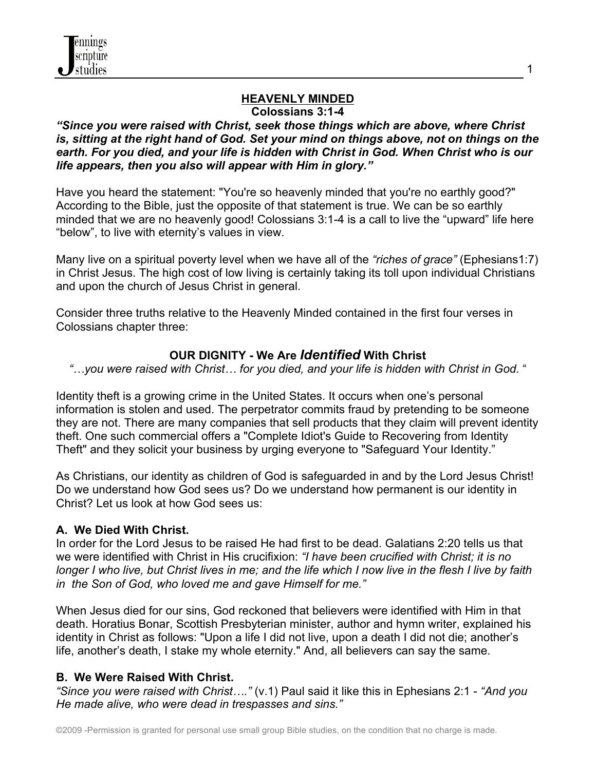

#### **HEAVENLY MINDED Colossians 3:1-4**

### *"Since you were raised with Christ, seek those things which are above, where Christ is, sitting at the right hand of God. Set your mind on things above, not on things on the earth. For you died, and your life is hidden with Christ in God. When Christ who is our life appears, then you also will appear with Him in glory."*

Have you heard the statement: "You're so heavenly minded that you're no earthly good?" According to the Bible, just the opposite of that statement is true. We can be so earthly minded that we are no heavenly good! Colossians 3:1-4 is a call to live the "upward" life here "below", to live with eternity's values in view.

Many live on a spiritual poverty level when we have all of the *"riches of grace"* (Ephesians1:7) in Christ Jesus. The high cost of low living is certainly taking its toll upon individual Christians and upon the church of Jesus Christ in general.

Consider three truths relative to the Heavenly Minded contained in the first four verses in Colossians chapter three:

### **OUR DIGNITY - We Are** *Identified* **With Christ**

*"…you were raised with Christ… for you died, and your life is hidden with Christ in God.* "

Identity theft is a growing crime in the United States. It occurs when one's personal information is stolen and used. The perpetrator commits fraud by pretending to be someone they are not. There are many companies that sell products that they claim will prevent identity theft. One such commercial offers a "Complete Idiot's Guide to Recovering from Identity Theft" and they solicit your business by urging everyone to "Safeguard Your Identity."

As Christians, our identity as children of God is safeguarded in and by the Lord Jesus Christ! Do we understand how God sees us? Do we understand how permanent is our identity in Christ? Let us look at how God sees us:

### **A. We Died With Christ.**

In order for the Lord Jesus to be raised He had first to be dead. Galatians 2:20 tells us that we were identified with Christ in His crucifixion: *"I have been crucified with Christ; it is no longer I who live, but Christ lives in me; and the life which I now live in the flesh I live by faith in the Son of God, who loved me and gave Himself for me."*

When Jesus died for our sins, God reckoned that believers were identified with Him in that death. Horatius Bonar, Scottish Presbyterian minister, author and hymn writer, explained his identity in Christ as follows: "Upon a life I did not live, upon a death I did not die; another's life, another's death, I stake my whole eternity." And, all believers can say the same.

### **B. We Were Raised With Christ.**

*"Since you were raised with Christ…."* (v.1) Paul said it like this in Ephesians 2:1 - *"And you He made alive, who were dead in trespasses and sins."*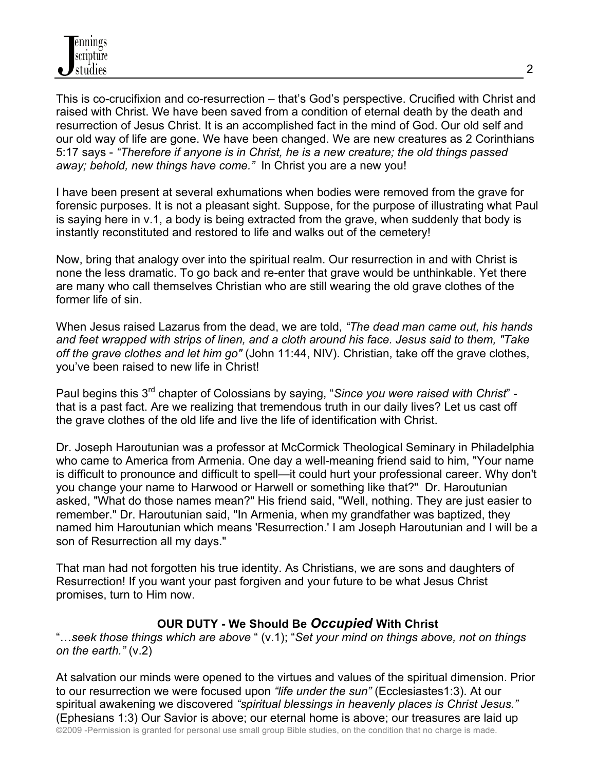This is co-crucifixion and co-resurrection – that's God's perspective. Crucified with Christ and raised with Christ. We have been saved from a condition of eternal death by the death and resurrection of Jesus Christ. It is an accomplished fact in the mind of God. Our old self and our old way of life are gone. We have been changed. We are new creatures as 2 Corinthians 5:17 says - *"Therefore if anyone is in Christ, he is a new creature; the old things passed away; behold, new things have come."* In Christ you are a new you!

I have been present at several exhumations when bodies were removed from the grave for forensic purposes. It is not a pleasant sight. Suppose, for the purpose of illustrating what Paul is saying here in v.1, a body is being extracted from the grave, when suddenly that body is instantly reconstituted and restored to life and walks out of the cemetery!

Now, bring that analogy over into the spiritual realm. Our resurrection in and with Christ is none the less dramatic. To go back and re-enter that grave would be unthinkable. Yet there are many who call themselves Christian who are still wearing the old grave clothes of the former life of sin.

When Jesus raised Lazarus from the dead, we are told, *"The dead man came out, his hands and feet wrapped with strips of linen, and a cloth around his face. Jesus said to them, "Take off the grave clothes and let him go"* (John 11:44, NIV). Christian, take off the grave clothes, you've been raised to new life in Christ!

Paul begins this 3rd chapter of Colossians by saying, "*Since you were raised with Christ*" that is a past fact. Are we realizing that tremendous truth in our daily lives? Let us cast off the grave clothes of the old life and live the life of identification with Christ.

Dr. Joseph Haroutunian was a professor at McCormick Theological Seminary in Philadelphia who came to America from Armenia. One day a well-meaning friend said to him, "Your name is difficult to pronounce and difficult to spell—it could hurt your professional career. Why don't you change your name to Harwood or Harwell or something like that?" Dr. Haroutunian asked, "What do those names mean?" His friend said, "Well, nothing. They are just easier to remember." Dr. Haroutunian said, "In Armenia, when my grandfather was baptized, they named him Haroutunian which means 'Resurrection.' I am Joseph Haroutunian and I will be a son of Resurrection all my days."

That man had not forgotten his true identity. As Christians, we are sons and daughters of Resurrection! If you want your past forgiven and your future to be what Jesus Christ promises, turn to Him now.

# **OUR DUTY - We Should Be** *Occupied* **With Christ**

"…*seek those things which are above* " (v.1); "*Set your mind on things above, not on things on the earth."* (v.2)

©2009 -Permission is granted for personal use small group Bible studies, on the condition that no charge is made. At salvation our minds were opened to the virtues and values of the spiritual dimension. Prior to our resurrection we were focused upon *"life under the sun"* (Ecclesiastes1:3). At our spiritual awakening we discovered *"spiritual blessings in heavenly places is Christ Jesus."* (Ephesians 1:3) Our Savior is above; our eternal home is above; our treasures are laid up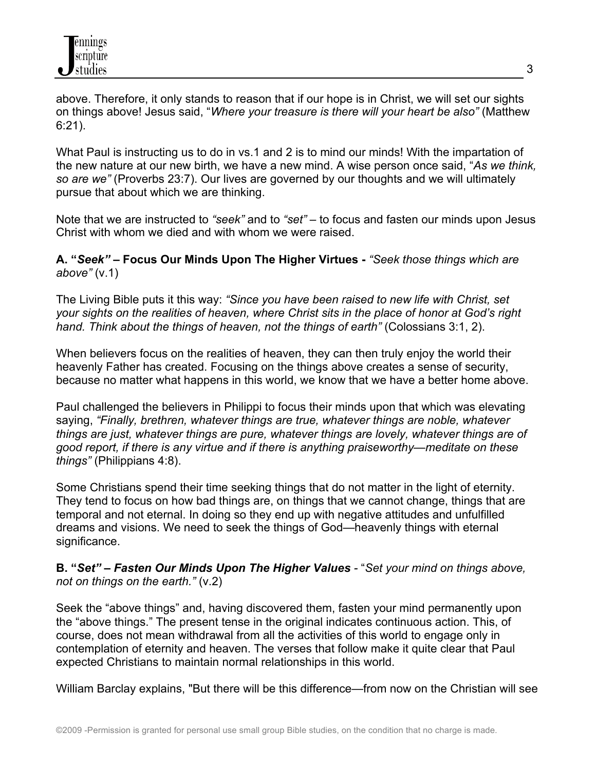above. Therefore, it only stands to reason that if our hope is in Christ, we will set our sights on things above! Jesus said, "*Where your treasure is there will your heart be also"* (Matthew 6:21).

What Paul is instructing us to do in vs.1 and 2 is to mind our minds! With the impartation of the new nature at our new birth, we have a new mind. A wise person once said, "*As we think, so are we"* (Proverbs 23:7). Our lives are governed by our thoughts and we will ultimately pursue that about which we are thinking.

Note that we are instructed to *"seek"* and to *"set"* – to focus and fasten our minds upon Jesus Christ with whom we died and with whom we were raised.

**A. "***Seek" –* **Focus Our Minds Upon The Higher Virtues -** *"Seek those things which are above"* (v.1)

The Living Bible puts it this way: *"Since you have been raised to new life with Christ, set your sights on the realities of heaven, where Christ sits in the place of honor at God's right hand. Think about the things of heaven, not the things of earth"* (Colossians 3:1, 2).

When believers focus on the realities of heaven, they can then truly enjoy the world their heavenly Father has created. Focusing on the things above creates a sense of security, because no matter what happens in this world, we know that we have a better home above.

Paul challenged the believers in Philippi to focus their minds upon that which was elevating saying, *"Finally, brethren, whatever things are true, whatever things are noble, whatever things are just, whatever things are pure, whatever things are lovely, whatever things are of good report, if there is any virtue and if there is anything praiseworthy—meditate on these things"* (Philippians 4:8).

Some Christians spend their time seeking things that do not matter in the light of eternity. They tend to focus on how bad things are, on things that we cannot change, things that are temporal and not eternal. In doing so they end up with negative attitudes and unfulfilled dreams and visions. We need to seek the things of God—heavenly things with eternal significance.

**B. "***Set" – Fasten Our Minds Upon The Higher Values -* "*Set your mind on things above, not on things on the earth."* (v.2)

Seek the "above things" and, having discovered them, fasten your mind permanently upon the "above things." The present tense in the original indicates continuous action. This, of course, does not mean withdrawal from all the activities of this world to engage only in contemplation of eternity and heaven. The verses that follow make it quite clear that Paul expected Christians to maintain normal relationships in this world.

William Barclay explains, "But there will be this difference—from now on the Christian will see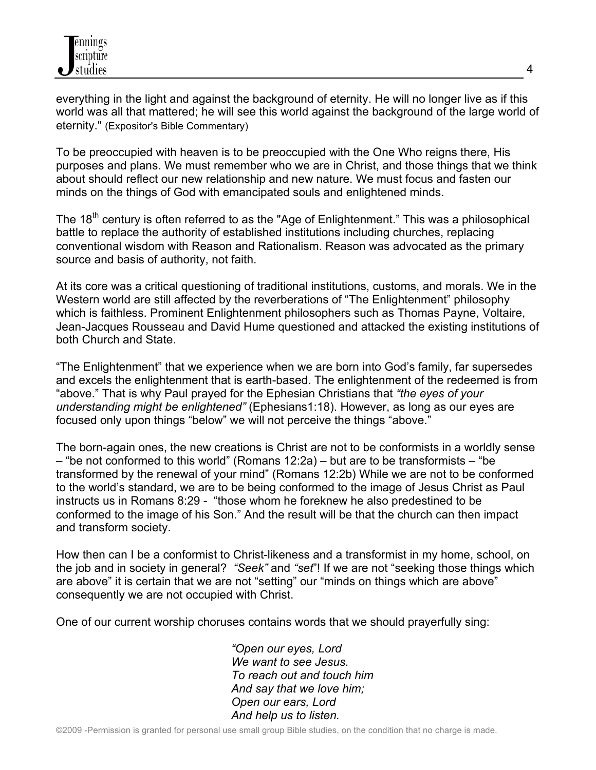everything in the light and against the background of eternity. He will no longer live as if this world was all that mattered; he will see this world against the background of the large world of eternity." (Expositor's Bible Commentary)

4

To be preoccupied with heaven is to be preoccupied with the One Who reigns there, His purposes and plans. We must remember who we are in Christ, and those things that we think about should reflect our new relationship and new nature. We must focus and fasten our minds on the things of God with emancipated souls and enlightened minds.

The 18<sup>th</sup> century is often referred to as the "Age of Enlightenment." This was a philosophical battle to replace the authority of established institutions including churches, replacing conventional wisdom with Reason and Rationalism. Reason was advocated as the primary source and basis of authority, not faith.

At its core was a critical questioning of traditional institutions, customs, and morals. We in the Western world are still affected by the reverberations of "The Enlightenment" philosophy which is faithless. Prominent Enlightenment philosophers such as Thomas Payne, Voltaire, Jean-Jacques Rousseau and David Hume questioned and attacked the existing institutions of both Church and State.

"The Enlightenment" that we experience when we are born into God's family, far supersedes and excels the enlightenment that is earth-based. The enlightenment of the redeemed is from "above." That is why Paul prayed for the Ephesian Christians that *"the eyes of your understanding might be enlightened"* (Ephesians1:18). However, as long as our eyes are focused only upon things "below" we will not perceive the things "above."

The born-again ones, the new creations is Christ are not to be conformists in a worldly sense – "be not conformed to this world" (Romans 12:2a) – but are to be transformists – "be transformed by the renewal of your mind" (Romans 12:2b) While we are not to be conformed to the world's standard, we are to be being conformed to the image of Jesus Christ as Paul instructs us in Romans 8:29 - "those whom he foreknew he also predestined to be conformed to the image of his Son." And the result will be that the church can then impact and transform society.

How then can I be a conformist to Christ-likeness and a transformist in my home, school, on the job and in society in general? *"Seek"* and *"set*"! If we are not "seeking those things which are above" it is certain that we are not "setting" our "minds on things which are above" consequently we are not occupied with Christ.

One of our current worship choruses contains words that we should prayerfully sing:

*"Open our eyes, Lord We want to see Jesus. To reach out and touch him And say that we love him; Open our ears, Lord And help us to listen.*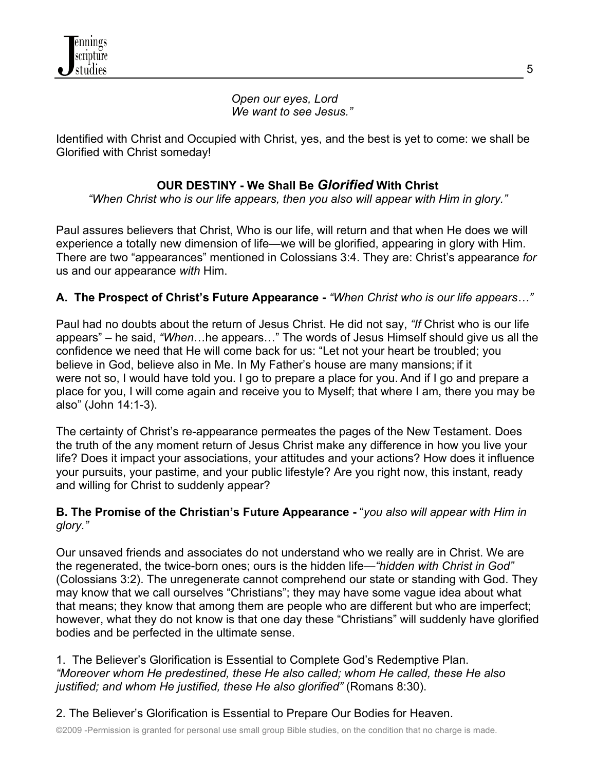*Open our eyes, Lord We want to see Jesus."*

Identified with Christ and Occupied with Christ, yes, and the best is yet to come: we shall be Glorified with Christ someday!

# **OUR DESTINY - We Shall Be** *Glorified* **With Christ**

*"When Christ who is our life appears, then you also will appear with Him in glory."*

Paul assures believers that Christ, Who is our life, will return and that when He does we will experience a totally new dimension of life—we will be glorified, appearing in glory with Him. There are two "appearances" mentioned in Colossians 3:4. They are: Christ's appearance *for* us and our appearance *with* Him.

### **A. The Prospect of Christ's Future Appearance -** *"When Christ who is our life appears…"*

Paul had no doubts about the return of Jesus Christ. He did not say, *"If* Christ who is our life appears" – he said, *"When*…he appears…" The words of Jesus Himself should give us all the confidence we need that He will come back for us: "Let not your heart be troubled; you believe in God, believe also in Me. In My Father's house are many mansions; if it were not so, I would have told you. I go to prepare a place for you. And if I go and prepare a place for you, I will come again and receive you to Myself; that where I am, there you may be also" (John 14:1-3).

The certainty of Christ's re-appearance permeates the pages of the New Testament. Does the truth of the any moment return of Jesus Christ make any difference in how you live your life? Does it impact your associations, your attitudes and your actions? How does it influence your pursuits, your pastime, and your public lifestyle? Are you right now, this instant, ready and willing for Christ to suddenly appear?

### **B. The Promise of the Christian's Future Appearance -** "*you also will appear with Him in glory."*

Our unsaved friends and associates do not understand who we really are in Christ. We are the regenerated, the twice-born ones; ours is the hidden life—*"hidden with Christ in God"*  (Colossians 3:2). The unregenerate cannot comprehend our state or standing with God. They may know that we call ourselves "Christians"; they may have some vague idea about what that means; they know that among them are people who are different but who are imperfect; however, what they do not know is that one day these "Christians" will suddenly have glorified bodies and be perfected in the ultimate sense.

1.The Believer's Glorification is Essential to Complete God's Redemptive Plan. *"Moreover whom He predestined, these He also called; whom He called, these He also justified; and whom He justified, these He also glorified"* (Romans 8:30).

# 2. The Believer's Glorification is Essential to Prepare Our Bodies for Heaven.

©2009 -Permission is granted for personal use small group Bible studies, on the condition that no charge is made.